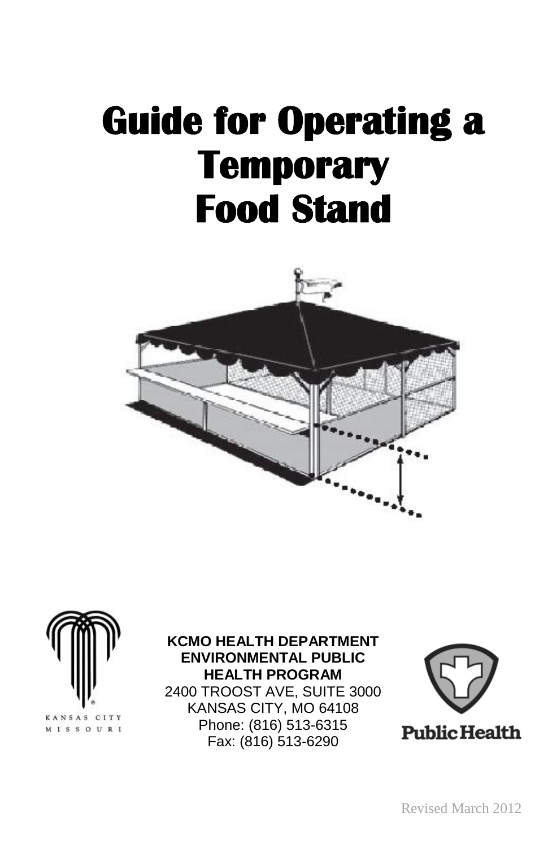## **Guide for Operating a Temporary Food Stand**





#### **KCMO HEALTH DEPARTMENT ENVIRONMENTAL PUBLIC HEALTH PROGRAM**

2400 TROOST AVE, SUITE 3000 KANSAS CITY, MO 64108 Phone: (816) 513-6315 Fax: (816) 513-6290

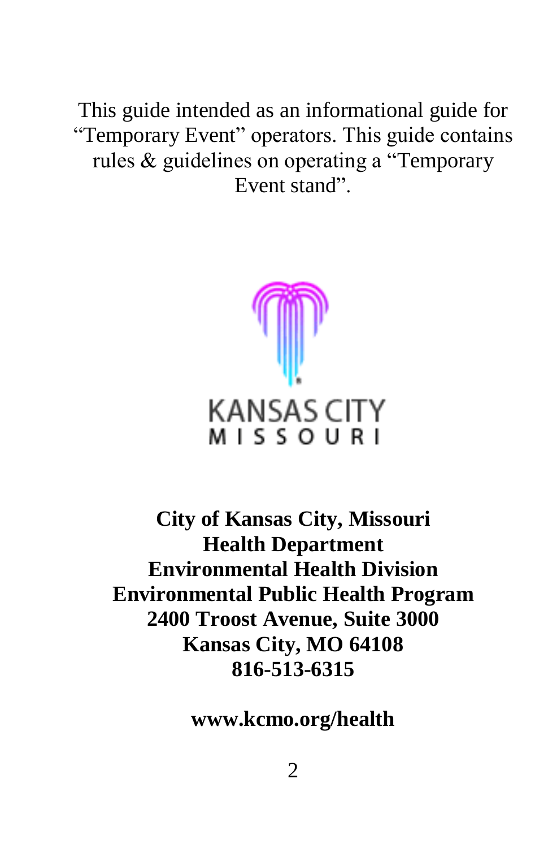This guide intended as an informational guide for "Temporary Event" operators. This guide contains rules & guidelines on operating a "Temporary Event stand".



**City of Kansas City, Missouri Health Department Environmental Health Division Environmental Public Health Program 2400 Troost Avenue, Suite 3000 Kansas City, MO 64108 816-513-6315**

**www.kcmo.org/health**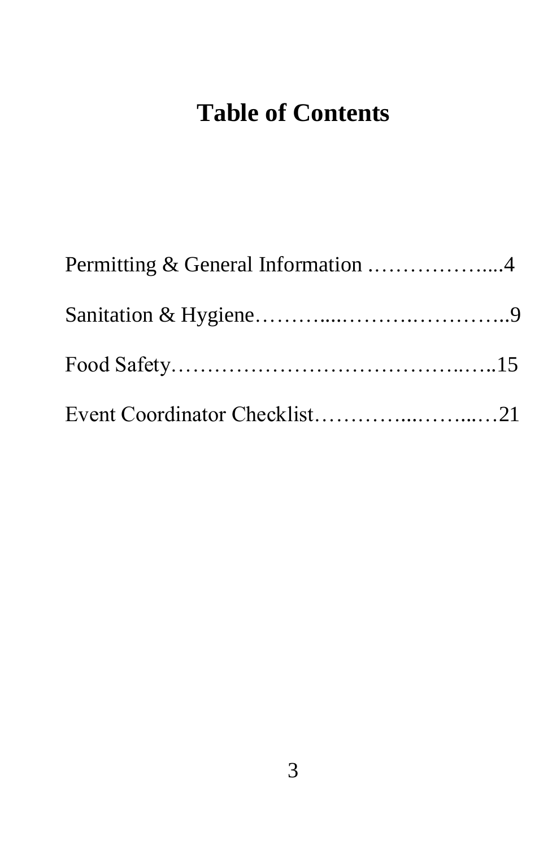### **Table of Contents**

| Permitting & General Information 4 |  |
|------------------------------------|--|
|                                    |  |
|                                    |  |
| Event Coordinator Checklist21      |  |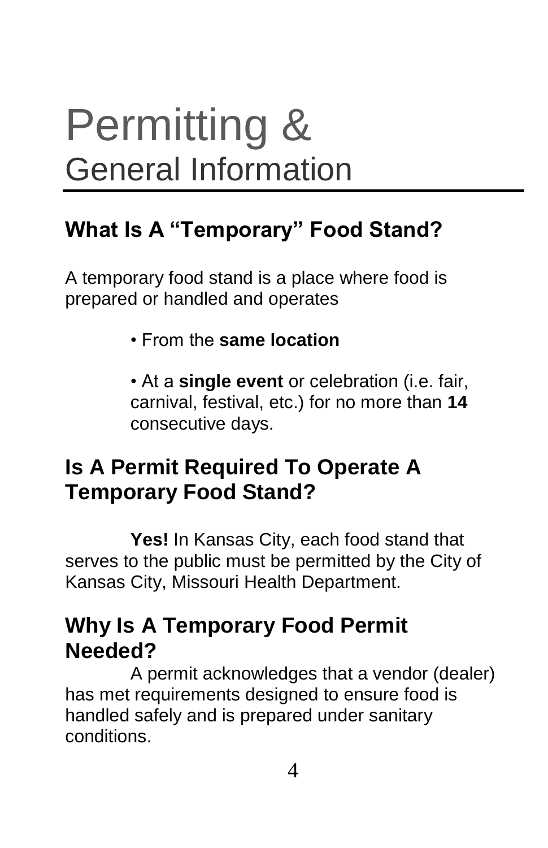## Permitting & General Information

#### **What Is A "Temporary" Food Stand?**

A temporary food stand is a place where food is prepared or handled and operates

• From the **same location**

• At a **single event** or celebration (i.e. fair, carnival, festival, etc.) for no more than **14**  consecutive days.

#### **Is A Permit Required To Operate A Temporary Food Stand?**

**Yes!** In Kansas City, each food stand that serves to the public must be permitted by the City of Kansas City, Missouri Health Department.

#### **Why Is A Temporary Food Permit Needed?**

A permit acknowledges that a vendor (dealer) has met requirements designed to ensure food is handled safely and is prepared under sanitary conditions.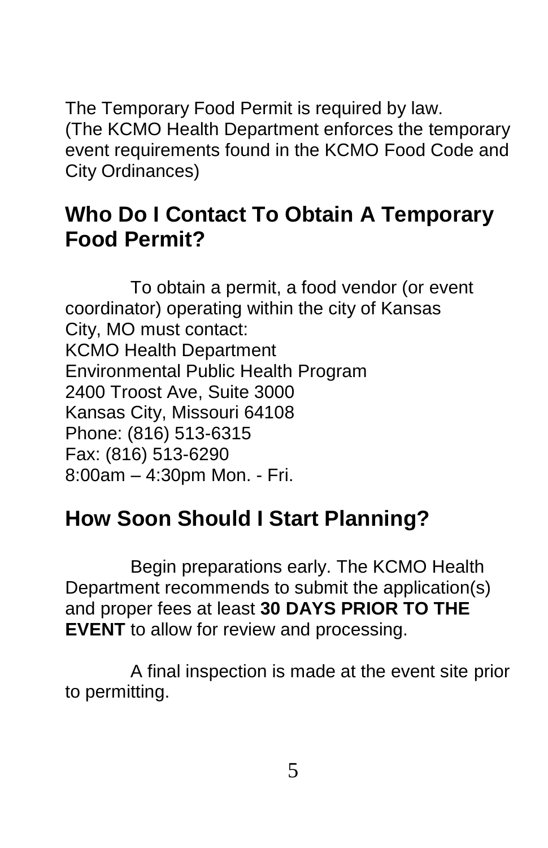The Temporary Food Permit is required by law. (The KCMO Health Department enforces the temporary event requirements found in the KCMO Food Code and City Ordinances)

#### **Who Do I Contact To Obtain A Temporary Food Permit?**

To obtain a permit, a food vendor (or event coordinator) operating within the city of Kansas City, MO must contact: KCMO Health Department Environmental Public Health Program 2400 Troost Ave, Suite 3000 Kansas City, Missouri 64108 Phone: (816) 513-6315 Fax: (816) 513-6290 8:00am – 4:30pm Mon. - Fri.

#### **How Soon Should I Start Planning?**

Begin preparations early. The KCMO Health Department recommends to submit the application(s) and proper fees at least **30 DAYS PRIOR TO THE EVENT** to allow for review and processing.

A final inspection is made at the event site prior to permitting.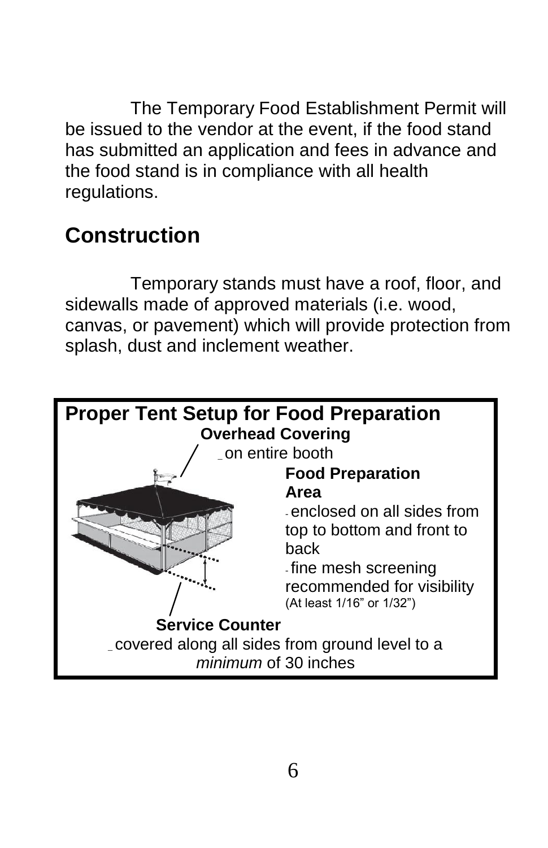The Temporary Food Establishment Permit will be issued to the vendor at the event, if the food stand has submitted an application and fees in advance and the food stand is in compliance with all health regulations.

#### **Construction**

Temporary stands must have a roof, floor, and sidewalls made of approved materials (i.e. wood, canvas, or pavement) which will provide protection from splash, dust and inclement weather.

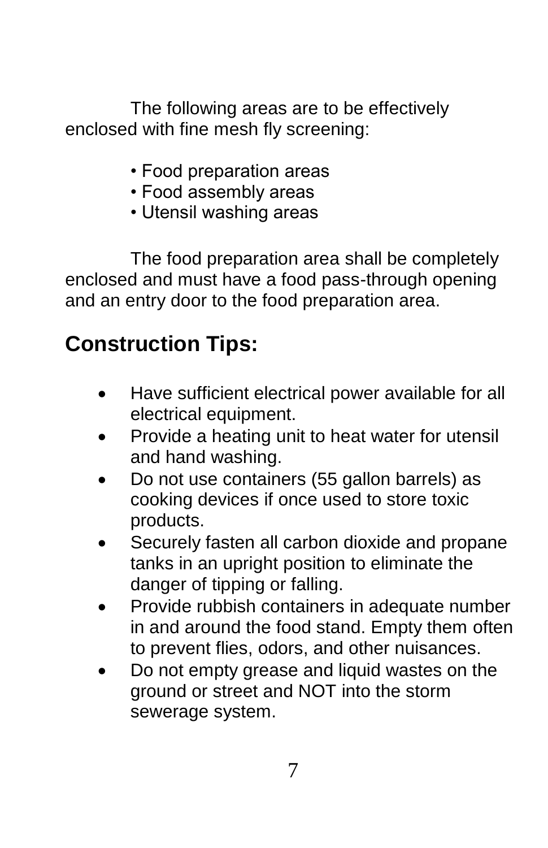The following areas are to be effectively enclosed with fine mesh fly screening:

- Food preparation areas
- Food assembly areas
- Utensil washing areas

The food preparation area shall be completely enclosed and must have a food pass-through opening and an entry door to the food preparation area.

#### **Construction Tips:**

- Have sufficient electrical power available for all electrical equipment.
- Provide a heating unit to heat water for utensil and hand washing.
- Do not use containers (55 gallon barrels) as cooking devices if once used to store toxic products.
- Securely fasten all carbon dioxide and propane tanks in an upright position to eliminate the danger of tipping or falling.
- Provide rubbish containers in adequate number in and around the food stand. Empty them often to prevent flies, odors, and other nuisances.
- Do not empty grease and liquid wastes on the ground or street and NOT into the storm sewerage system.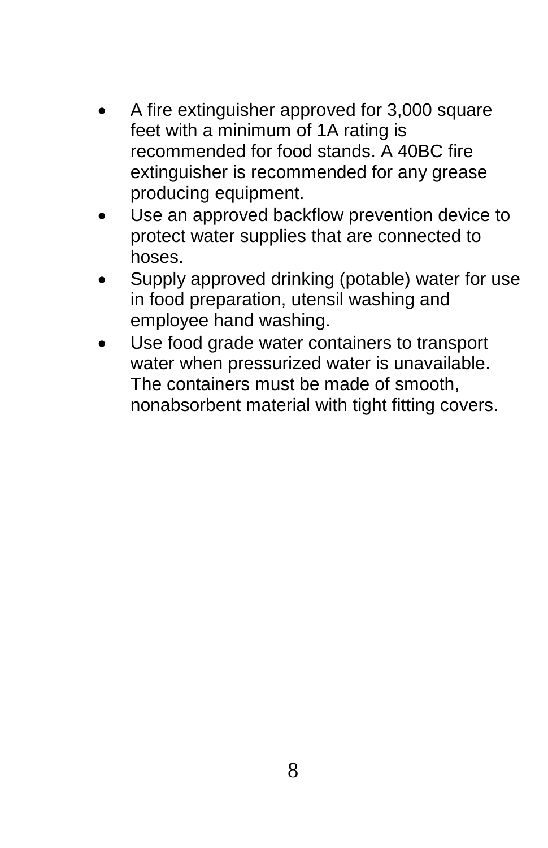- A fire extinguisher approved for 3,000 square feet with a minimum of 1A rating is recommended for food stands. A 40BC fire extinguisher is recommended for any grease producing equipment.
- Use an approved backflow prevention device to protect water supplies that are connected to hoses.
- Supply approved drinking (potable) water for use in food preparation, utensil washing and employee hand washing.
- Use food grade water containers to transport water when pressurized water is unavailable. The containers must be made of smooth, nonabsorbent material with tight fitting covers.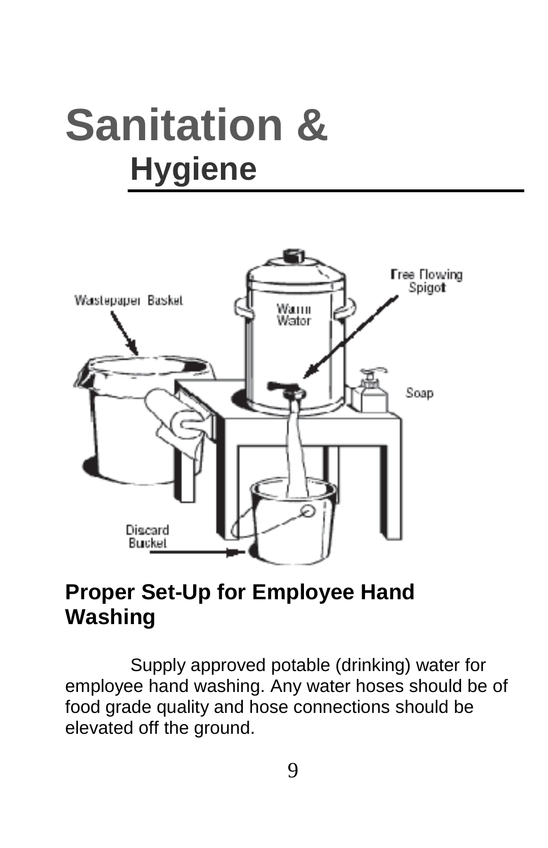## **Sanitation & Hygiene**



#### **Proper Set-Up for Employee Hand Washing**

Supply approved potable (drinking) water for employee hand washing. Any water hoses should be of food grade quality and hose connections should be elevated off the ground.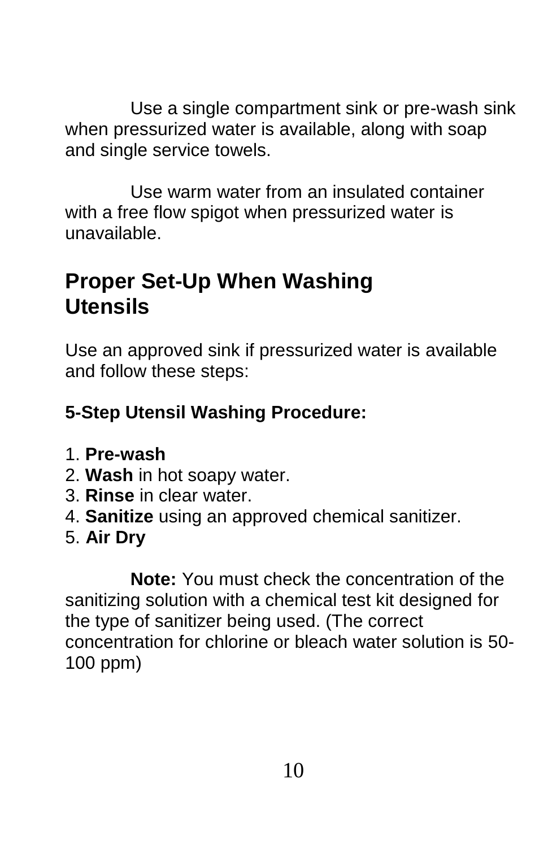Use a single compartment sink or pre-wash sink when pressurized water is available, along with soap and single service towels.

Use warm water from an insulated container with a free flow spigot when pressurized water is unavailable.

#### **Proper Set-Up When Washing Utensils**

Use an approved sink if pressurized water is available and follow these steps:

#### **5-Step Utensil Washing Procedure:**

- 1. **Pre-wash**
- 2. **Wash** in hot soapy water.
- 3. **Rinse** in clear water.
- 4. **Sanitize** using an approved chemical sanitizer.
- 5. **Air Dry**

**Note:** You must check the concentration of the sanitizing solution with a chemical test kit designed for the type of sanitizer being used. (The correct concentration for chlorine or bleach water solution is 50- 100 ppm)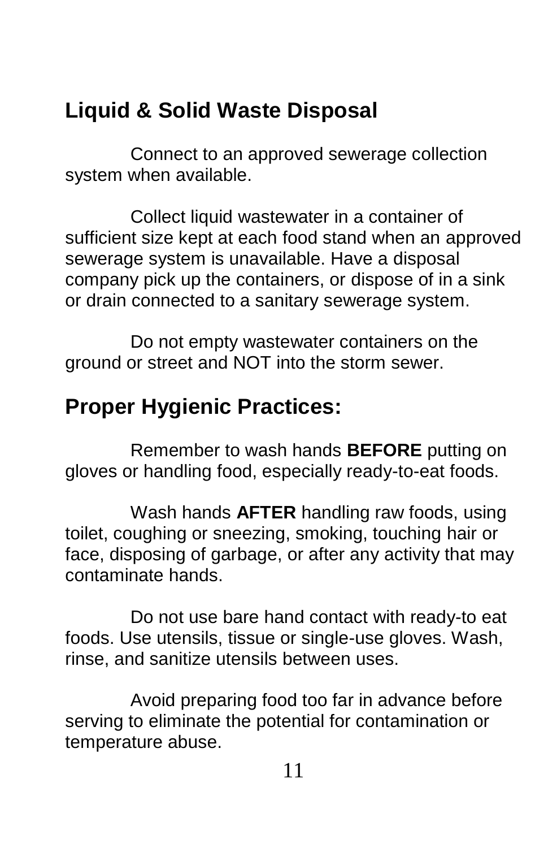#### **Liquid & Solid Waste Disposal**

Connect to an approved sewerage collection system when available.

Collect liquid wastewater in a container of sufficient size kept at each food stand when an approved sewerage system is unavailable. Have a disposal company pick up the containers, or dispose of in a sink or drain connected to a sanitary sewerage system.

Do not empty wastewater containers on the ground or street and NOT into the storm sewer.

#### **Proper Hygienic Practices:**

Remember to wash hands **BEFORE** putting on gloves or handling food, especially ready-to-eat foods.

Wash hands **AFTER** handling raw foods, using toilet, coughing or sneezing, smoking, touching hair or face, disposing of garbage, or after any activity that may contaminate hands.

Do not use bare hand contact with ready-to eat foods. Use utensils, tissue or single-use gloves. Wash, rinse, and sanitize utensils between uses.

Avoid preparing food too far in advance before serving to eliminate the potential for contamination or temperature abuse.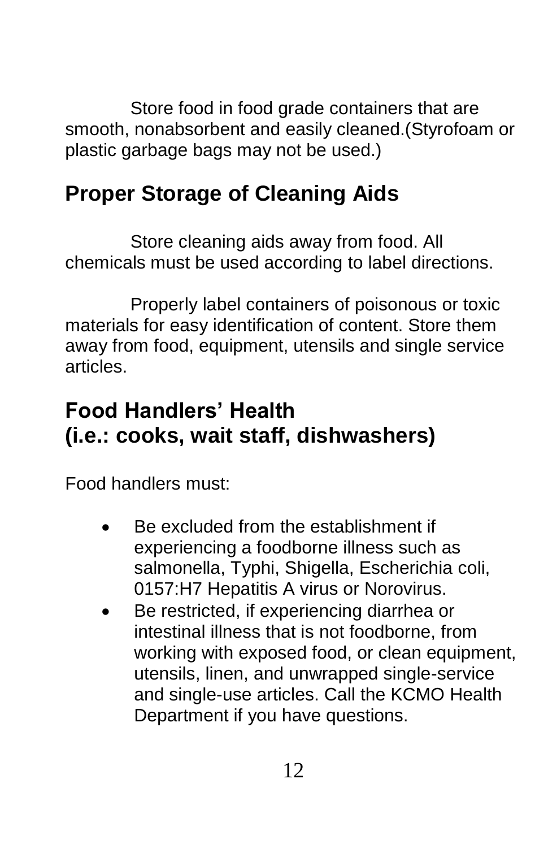Store food in food grade containers that are smooth, nonabsorbent and easily cleaned.(Styrofoam or plastic garbage bags may not be used.)

#### **Proper Storage of Cleaning Aids**

Store cleaning aids away from food. All chemicals must be used according to label directions.

Properly label containers of poisonous or toxic materials for easy identification of content. Store them away from food, equipment, utensils and single service articles.

#### **Food Handlers' Health (i.e.: cooks, wait staff, dishwashers)**

Food handlers must:

- Be excluded from the establishment if experiencing a foodborne illness such as salmonella, Typhi, Shigella, Escherichia coli, 0157:H7 Hepatitis A virus or Norovirus.
- Be restricted, if experiencing diarrhea or intestinal illness that is not foodborne, from working with exposed food, or clean equipment, utensils, linen, and unwrapped single-service and single-use articles. Call the KCMO Health Department if you have questions.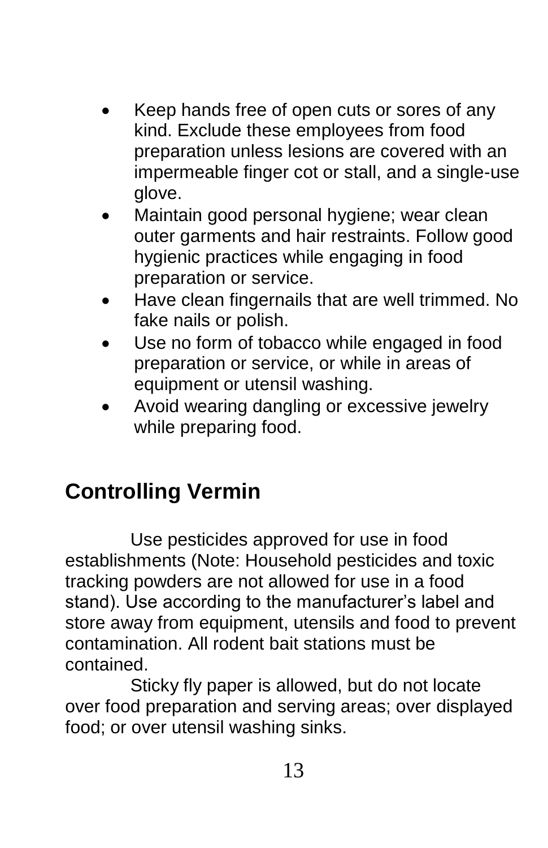- Keep hands free of open cuts or sores of any kind. Exclude these employees from food preparation unless lesions are covered with an impermeable finger cot or stall, and a single-use glove.
- Maintain good personal hygiene; wear clean outer garments and hair restraints. Follow good hygienic practices while engaging in food preparation or service.
- Have clean fingernails that are well trimmed. No fake nails or polish.
- Use no form of tobacco while engaged in food preparation or service, or while in areas of equipment or utensil washing.
- Avoid wearing dangling or excessive jewelry while preparing food.

#### **Controlling Vermin**

Use pesticides approved for use in food establishments (Note: Household pesticides and toxic tracking powders are not allowed for use in a food stand). Use according to the manufacturer's label and store away from equipment, utensils and food to prevent contamination. All rodent bait stations must be contained.

Sticky fly paper is allowed, but do not locate over food preparation and serving areas; over displayed food; or over utensil washing sinks.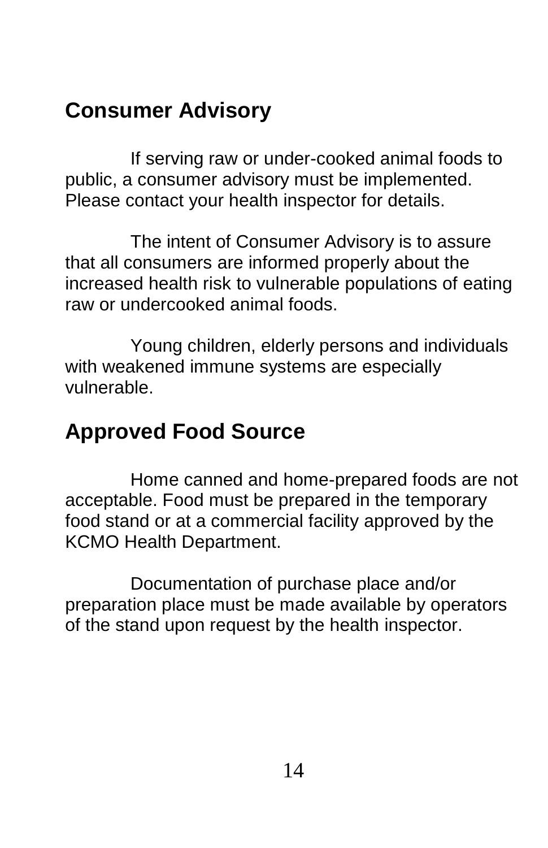#### **Consumer Advisory**

If serving raw or under-cooked animal foods to public, a consumer advisory must be implemented. Please contact your health inspector for details.

The intent of Consumer Advisory is to assure that all consumers are informed properly about the increased health risk to vulnerable populations of eating raw or undercooked animal foods.

Young children, elderly persons and individuals with weakened immune systems are especially vulnerable.

#### **Approved Food Source**

Home canned and home-prepared foods are not acceptable. Food must be prepared in the temporary food stand or at a commercial facility approved by the KCMO Health Department.

Documentation of purchase place and/or preparation place must be made available by operators of the stand upon request by the health inspector.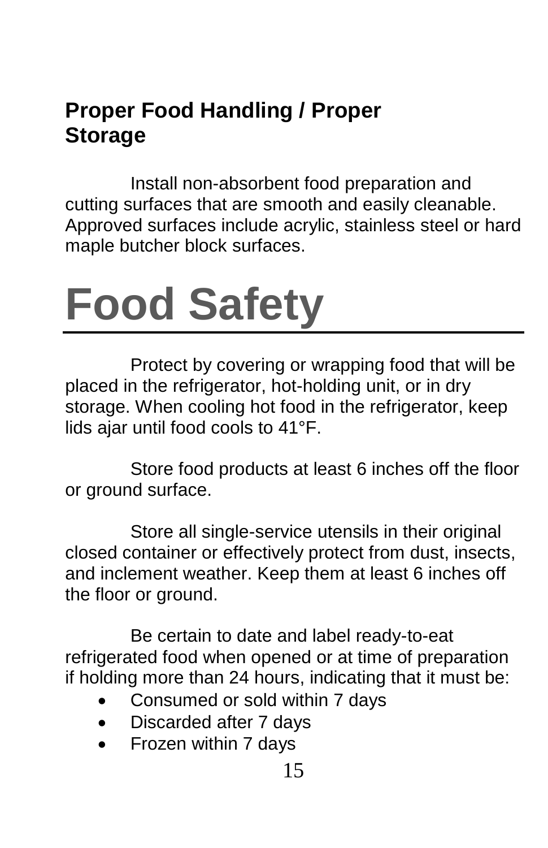#### **Proper Food Handling / Proper Storage**

Install non-absorbent food preparation and cutting surfaces that are smooth and easily cleanable. Approved surfaces include acrylic, stainless steel or hard maple butcher block surfaces.

# **Food Safety**

Protect by covering or wrapping food that will be placed in the refrigerator, hot-holding unit, or in dry storage. When cooling hot food in the refrigerator, keep lids ajar until food cools to 41°F.

Store food products at least 6 inches off the floor or ground surface.

Store all single-service utensils in their original closed container or effectively protect from dust, insects, and inclement weather. Keep them at least 6 inches off the floor or ground.

Be certain to date and label ready-to-eat refrigerated food when opened or at time of preparation if holding more than 24 hours, indicating that it must be:

- Consumed or sold within 7 days
- Discarded after 7 days
- Frozen within 7 days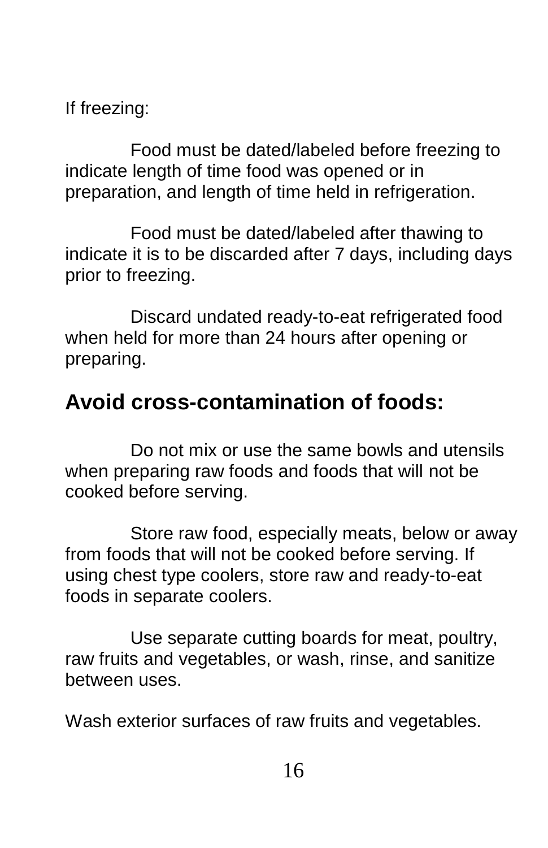If freezing:

Food must be dated/labeled before freezing to indicate length of time food was opened or in preparation, and length of time held in refrigeration.

Food must be dated/labeled after thawing to indicate it is to be discarded after 7 days, including days prior to freezing.

Discard undated ready-to-eat refrigerated food when held for more than 24 hours after opening or preparing.

#### **Avoid cross-contamination of foods:**

Do not mix or use the same bowls and utensils when preparing raw foods and foods that will not be cooked before serving.

Store raw food, especially meats, below or away from foods that will not be cooked before serving. If using chest type coolers, store raw and ready-to-eat foods in separate coolers.

Use separate cutting boards for meat, poultry, raw fruits and vegetables, or wash, rinse, and sanitize between uses.

Wash exterior surfaces of raw fruits and vegetables.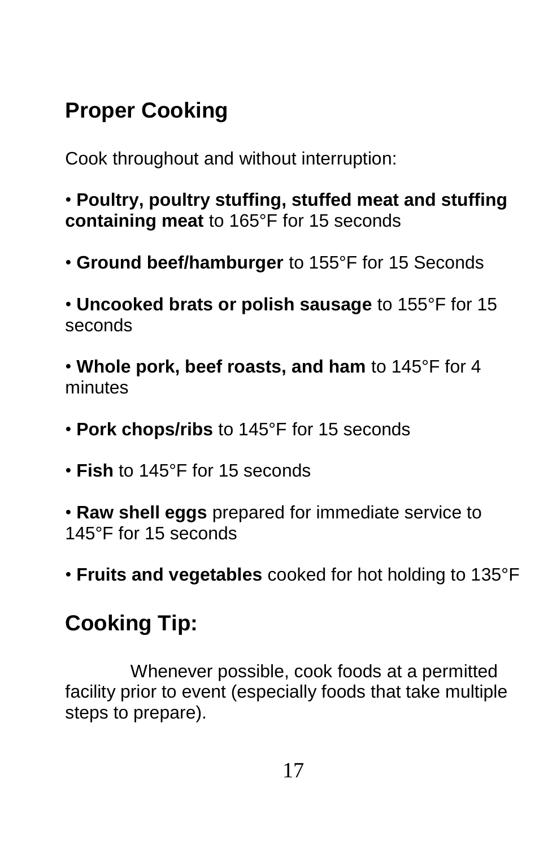### **Proper Cooking**

Cook throughout and without interruption:

• **Poultry, poultry stuffing, stuffed meat and stuffing containing meat** to 165°F for 15 seconds

- **Ground beef/hamburger** to 155°F for 15 Seconds
- **Uncooked brats or polish sausage** to 155°F for 15 seconds

• **Whole pork, beef roasts, and ham** to 145°F for 4 minutes

- **Pork chops/ribs** to 145°F for 15 seconds
- **Fish** to 145°F for 15 seconds

• **Raw shell eggs** prepared for immediate service to 145°F for 15 seconds

• **Fruits and vegetables** cooked for hot holding to 135°F

#### **Cooking Tip:**

Whenever possible, cook foods at a permitted facility prior to event (especially foods that take multiple steps to prepare).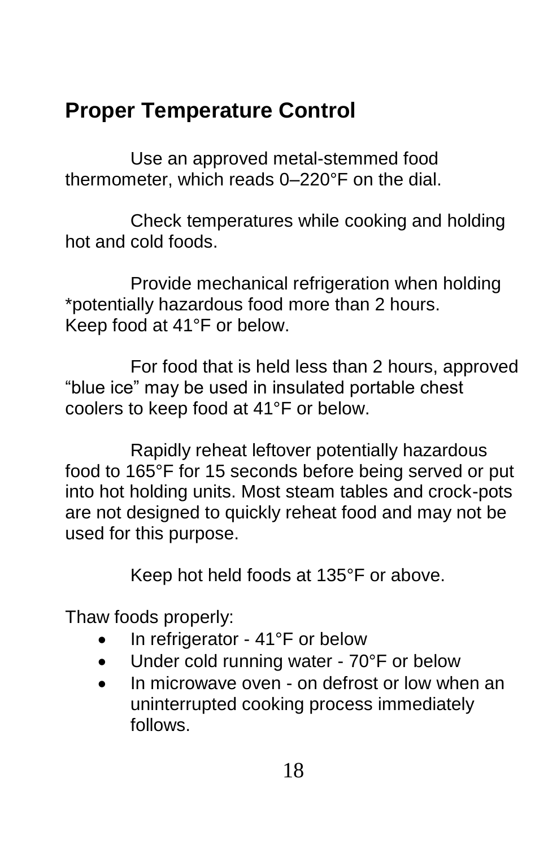#### **Proper Temperature Control**

Use an approved metal-stemmed food thermometer, which reads 0–220°F on the dial.

Check temperatures while cooking and holding hot and cold foods.

Provide mechanical refrigeration when holding \*potentially hazardous food more than 2 hours. Keep food at 41°F or below.

For food that is held less than 2 hours, approved "blue ice" may be used in insulated portable chest coolers to keep food at 41°F or below.

Rapidly reheat leftover potentially hazardous food to 165°F for 15 seconds before being served or put into hot holding units. Most steam tables and crock-pots are not designed to quickly reheat food and may not be used for this purpose.

Keep hot held foods at 135°F or above.

Thaw foods properly:

- In refrigerator 41°F or below
- Under cold running water 70°F or below
- In microwave oven on defrost or low when an uninterrupted cooking process immediately follows.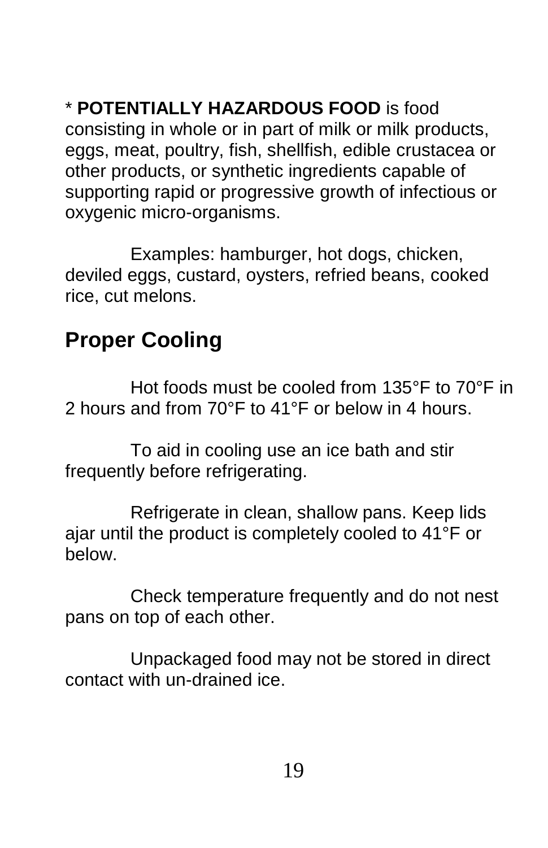#### \* **POTENTIALLY HAZARDOUS FOOD** is food

consisting in whole or in part of milk or milk products, eggs, meat, poultry, fish, shellfish, edible crustacea or other products, or synthetic ingredients capable of supporting rapid or progressive growth of infectious or oxygenic micro-organisms.

Examples: hamburger, hot dogs, chicken, deviled eggs, custard, oysters, refried beans, cooked rice, cut melons.

#### **Proper Cooling**

Hot foods must be cooled from 135°F to 70°F in 2 hours and from 70°F to 41°F or below in 4 hours.

To aid in cooling use an ice bath and stir frequently before refrigerating.

Refrigerate in clean, shallow pans. Keep lids ajar until the product is completely cooled to 41°F or below.

Check temperature frequently and do not nest pans on top of each other.

Unpackaged food may not be stored in direct contact with un-drained ice.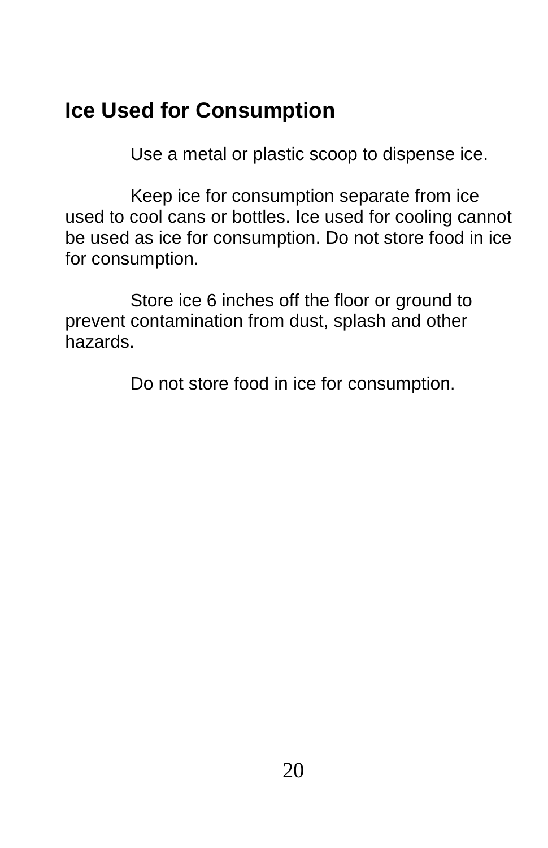#### **Ice Used for Consumption**

Use a metal or plastic scoop to dispense ice.

Keep ice for consumption separate from ice used to cool cans or bottles. Ice used for cooling cannot be used as ice for consumption. Do not store food in ice for consumption.

Store ice 6 inches off the floor or ground to prevent contamination from dust, splash and other hazards.

Do not store food in ice for consumption.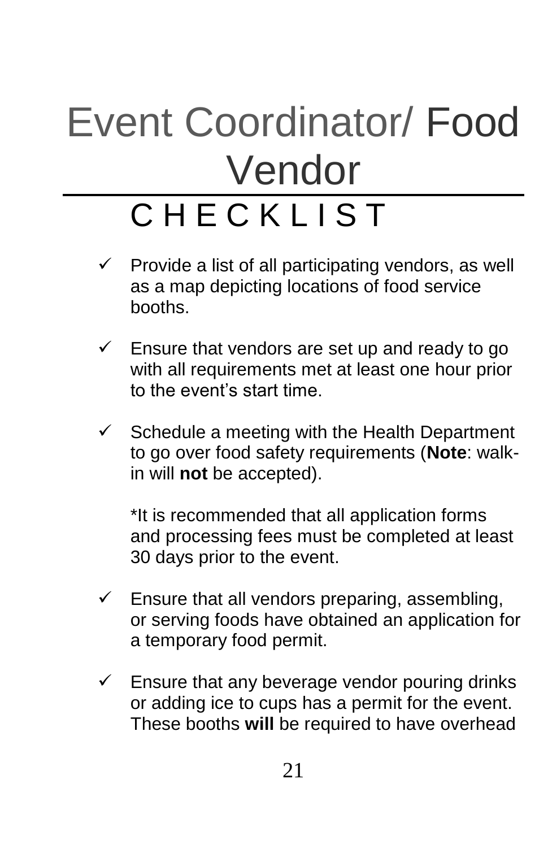# Event Coordinator/ Food Vendor

## C H F C K L I S T

- $\checkmark$  Provide a list of all participating vendors, as well as a map depicting locations of food service booths.
- $\checkmark$  Ensure that vendors are set up and ready to go with all requirements met at least one hour prior to the event's start time.
- $\checkmark$  Schedule a meeting with the Health Department to go over food safety requirements (**Note**: walkin will **not** be accepted).

\*It is recommended that all application forms and processing fees must be completed at least 30 days prior to the event.

- $\checkmark$  Ensure that all vendors preparing, assembling, or serving foods have obtained an application for a temporary food permit.
- $\checkmark$  Ensure that any beverage vendor pouring drinks or adding ice to cups has a permit for the event. These booths **will** be required to have overhead